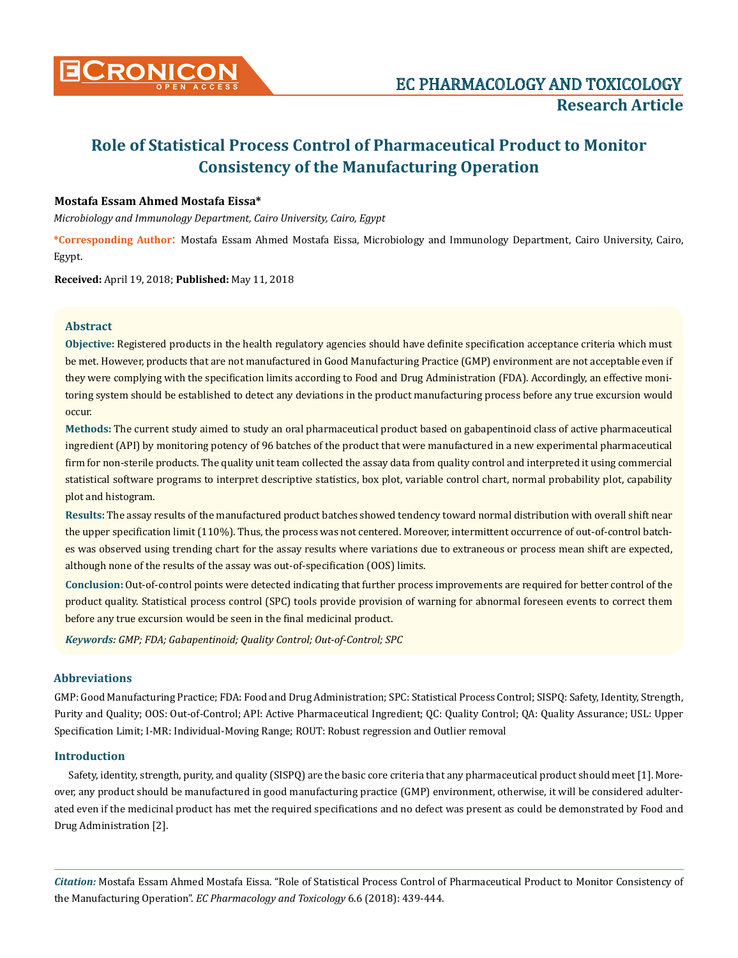

# **Role of Statistical Process Control of Pharmaceutical Product to Monitor Consistency of the Manufacturing Operation**

# **Mostafa Essam Ahmed Mostafa Eissa\***

*Microbiology and Immunology Department, Cairo University, Cairo, Egypt*

**\*Corresponding Author**: Mostafa Essam Ahmed Mostafa Eissa, Microbiology and Immunology Department, Cairo University, Cairo, Egypt.

**Received:** April 19, 2018; **Published:** May 11, 2018

# **Abstract**

**Objective:** Registered products in the health regulatory agencies should have definite specification acceptance criteria which must be met. However, products that are not manufactured in Good Manufacturing Practice (GMP) environment are not acceptable even if they were complying with the specification limits according to Food and Drug Administration (FDA). Accordingly, an effective monitoring system should be established to detect any deviations in the product manufacturing process before any true excursion would occur.

**Methods:** The current study aimed to study an oral pharmaceutical product based on gabapentinoid class of active pharmaceutical ingredient (API) by monitoring potency of 96 batches of the product that were manufactured in a new experimental pharmaceutical firm for non-sterile products. The quality unit team collected the assay data from quality control and interpreted it using commercial statistical software programs to interpret descriptive statistics, box plot, variable control chart, normal probability plot, capability plot and histogram.

**Results:** The assay results of the manufactured product batches showed tendency toward normal distribution with overall shift near the upper specification limit (110%). Thus, the process was not centered. Moreover, intermittent occurrence of out-of-control batches was observed using trending chart for the assay results where variations due to extraneous or process mean shift are expected, although none of the results of the assay was out-of-specification (OOS) limits.

**Conclusion:** Out-of-control points were detected indicating that further process improvements are required for better control of the product quality. Statistical process control (SPC) tools provide provision of warning for abnormal foreseen events to correct them before any true excursion would be seen in the final medicinal product.

*Keywords: GMP; FDA; Gabapentinoid; Quality Control; Out-of-Control; SPC*

# **Abbreviations**

GMP: Good Manufacturing Practice; FDA: Food and Drug Administration; SPC: Statistical Process Control; SISPQ: Safety, Identity, Strength, Purity and Quality; OOS: Out-of-Control; API: Active Pharmaceutical Ingredient; QC: Quality Control; QA: Quality Assurance; USL: Upper Specification Limit; I-MR: Individual-Moving Range; ROUT: Robust regression and Outlier removal

# **Introduction**

Safety, identity, strength, purity, and quality (SISPQ) are the basic core criteria that any pharmaceutical product should meet [1]. Moreover, any product should be manufactured in good manufacturing practice (GMP) environment, otherwise, it will be considered adulterated even if the medicinal product has met the required specifications and no defect was present as could be demonstrated by Food and Drug Administration [2].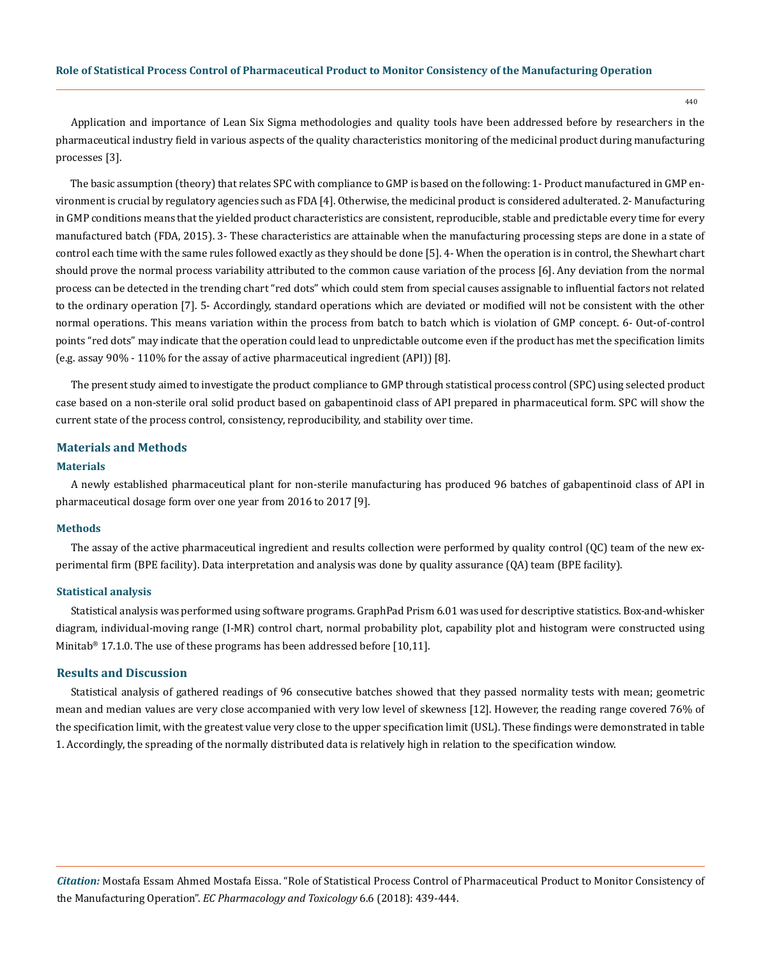440

Application and importance of Lean Six Sigma methodologies and quality tools have been addressed before by researchers in the pharmaceutical industry field in various aspects of the quality characteristics monitoring of the medicinal product during manufacturing processes [3].

The basic assumption (theory) that relates SPC with compliance to GMP is based on the following: 1- Product manufactured in GMP environment is crucial by regulatory agencies such as FDA [4]. Otherwise, the medicinal product is considered adulterated. 2- Manufacturing in GMP conditions means that the yielded product characteristics are consistent, reproducible, stable and predictable every time for every manufactured batch (FDA, 2015). 3- These characteristics are attainable when the manufacturing processing steps are done in a state of control each time with the same rules followed exactly as they should be done [5]. 4- When the operation is in control, the Shewhart chart should prove the normal process variability attributed to the common cause variation of the process [6]. Any deviation from the normal process can be detected in the trending chart "red dots" which could stem from special causes assignable to influential factors not related to the ordinary operation [7]. 5- Accordingly, standard operations which are deviated or modified will not be consistent with the other normal operations. This means variation within the process from batch to batch which is violation of GMP concept. 6- Out-of-control points "red dots" may indicate that the operation could lead to unpredictable outcome even if the product has met the specification limits (e.g. assay 90% - 110% for the assay of active pharmaceutical ingredient (API)) [8].

The present study aimed to investigate the product compliance to GMP through statistical process control (SPC) using selected product case based on a non-sterile oral solid product based on gabapentinoid class of API prepared in pharmaceutical form. SPC will show the current state of the process control, consistency, reproducibility, and stability over time.

## **Materials and Methods**

## **Materials**

A newly established pharmaceutical plant for non-sterile manufacturing has produced 96 batches of gabapentinoid class of API in pharmaceutical dosage form over one year from 2016 to 2017 [9].

## **Methods**

The assay of the active pharmaceutical ingredient and results collection were performed by quality control (QC) team of the new experimental firm (BPE facility). Data interpretation and analysis was done by quality assurance (QA) team (BPE facility).

#### **Statistical analysis**

Statistical analysis was performed using software programs. GraphPad Prism 6.01 was used for descriptive statistics. Box-and-whisker diagram, individual-moving range (I-MR) control chart, normal probability plot, capability plot and histogram were constructed using Minitab<sup>®</sup> 17.1.0. The use of these programs has been addressed before [10,11].

## **Results and Discussion**

Statistical analysis of gathered readings of 96 consecutive batches showed that they passed normality tests with mean; geometric mean and median values are very close accompanied with very low level of skewness [12]. However, the reading range covered 76% of the specification limit, with the greatest value very close to the upper specification limit (USL). These findings were demonstrated in table 1. Accordingly, the spreading of the normally distributed data is relatively high in relation to the specification window.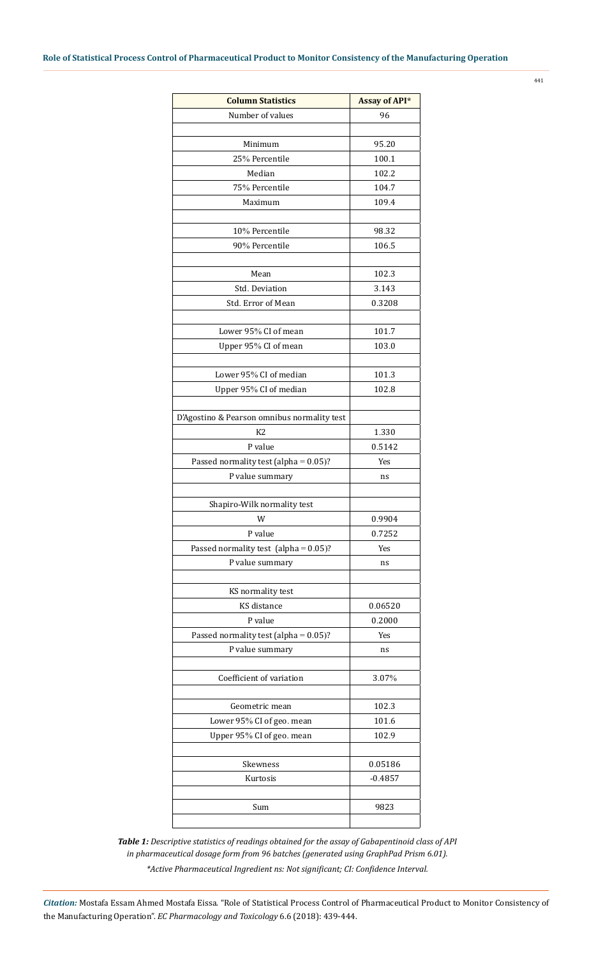| <b>Column Statistics</b>                    | <b>Assay of API*</b> |
|---------------------------------------------|----------------------|
| Number of values                            | 96                   |
|                                             |                      |
| Minimum                                     | 95.20                |
| 25% Percentile                              | 100.1                |
| Median                                      | 102.2                |
| 75% Percentile                              | 104.7                |
| Maximum                                     | 109.4                |
|                                             |                      |
| 10% Percentile                              | 98.32                |
| 90% Percentile                              | 106.5                |
|                                             |                      |
| Mean                                        | 102.3                |
| Std. Deviation                              | 3.143                |
| Std. Error of Mean                          | 0.3208               |
|                                             |                      |
| Lower 95% CI of mean                        | 101.7                |
| Upper 95% CI of mean                        | 103.0                |
|                                             |                      |
| Lower 95% CI of median                      | 101.3                |
| Upper 95% CI of median                      | 102.8                |
|                                             |                      |
| D'Agostino & Pearson omnibus normality test |                      |
| K2                                          | 1.330                |
| P value                                     | 0.5142               |
| Passed normality test (alpha = $0.05$ )?    | Yes                  |
| P value summary                             | ns                   |
|                                             |                      |
| Shapiro-Wilk normality test                 |                      |
| W                                           | 0.9904               |
| P value                                     | 0.7252               |
| Passed normality test (alpha = $0.05$ )?    | Yes                  |
| P value summary                             | ns                   |
|                                             |                      |
| KS normality test                           |                      |
| KS distance                                 | 0.06520              |
| P value                                     | 0.2000               |
| Passed normality test (alpha = $0.05$ )?    | Yes                  |
| P value summary                             | ns                   |
|                                             |                      |
| Coefficient of variation                    | 3.07%                |
|                                             |                      |
| Geometric mean                              | 102.3                |
| Lower 95% CI of geo. mean                   | 101.6                |
| Upper 95% CI of geo. mean                   | 102.9                |
|                                             |                      |
| Skewness                                    | 0.05186              |
| Kurtosis                                    | $-0.4857$            |
|                                             |                      |
| Sum                                         | 9823                 |
|                                             |                      |

*Table 1: Descriptive statistics of readings obtained for the assay of Gabapentinoid class of API in pharmaceutical dosage form from 96 batches (generated using GraphPad Prism 6.01). \*Active Pharmaceutical Ingredient ns: Not significant; CI: Confidence Interval.*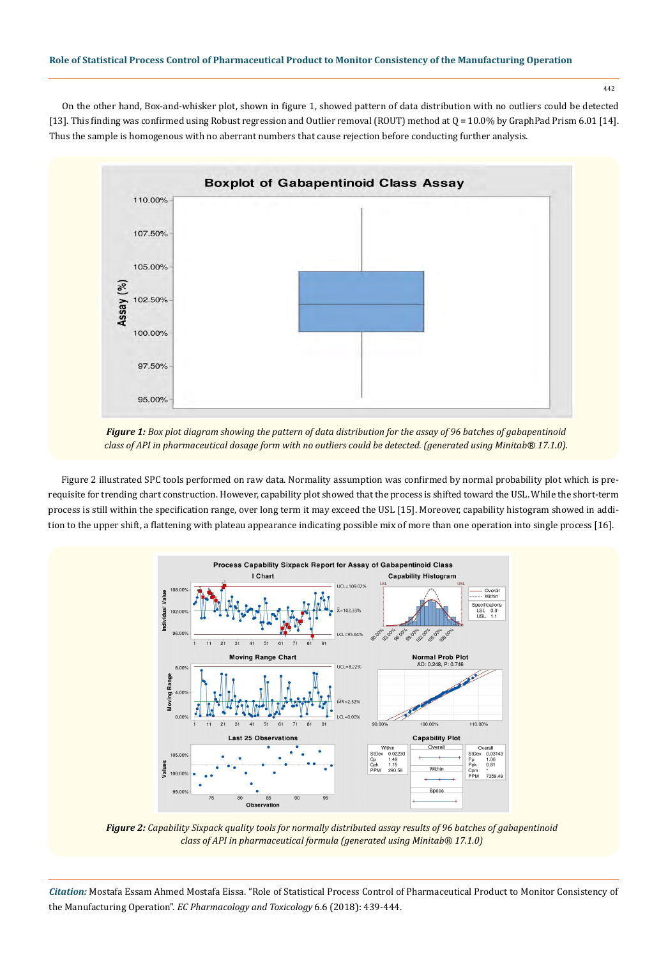442

On the other hand, Box-and-whisker plot, shown in figure 1, showed pattern of data distribution with no outliers could be detected [13]. This finding was confirmed using Robust regression and Outlier removal (ROUT) method at Q = 10.0% by GraphPad Prism 6.01 [14]. Thus the sample is homogenous with no aberrant numbers that cause rejection before conducting further analysis.



*Figure 1: Box plot diagram showing the pattern of data distribution for the assay of 96 batches of gabapentinoid class of API in pharmaceutical dosage form with no outliers could be detected. (generated using Minitab® 17.1.0).*

Figure 2 illustrated SPC tools performed on raw data. Normality assumption was confirmed by normal probability plot which is prerequisite for trending chart construction. However, capability plot showed that the process is shifted toward the USL. While the short-term process is still within the specification range, over long term it may exceed the USL [15]. Moreover, capability histogram showed in addition to the upper shift, a flattening with plateau appearance indicating possible mix of more than one operation into single process [16].



*Figure 2: Capability Sixpack quality tools for normally distributed assay results of 96 batches of gabapentinoid class of API in pharmaceutical formula (generated using Minitab® 17.1.0)*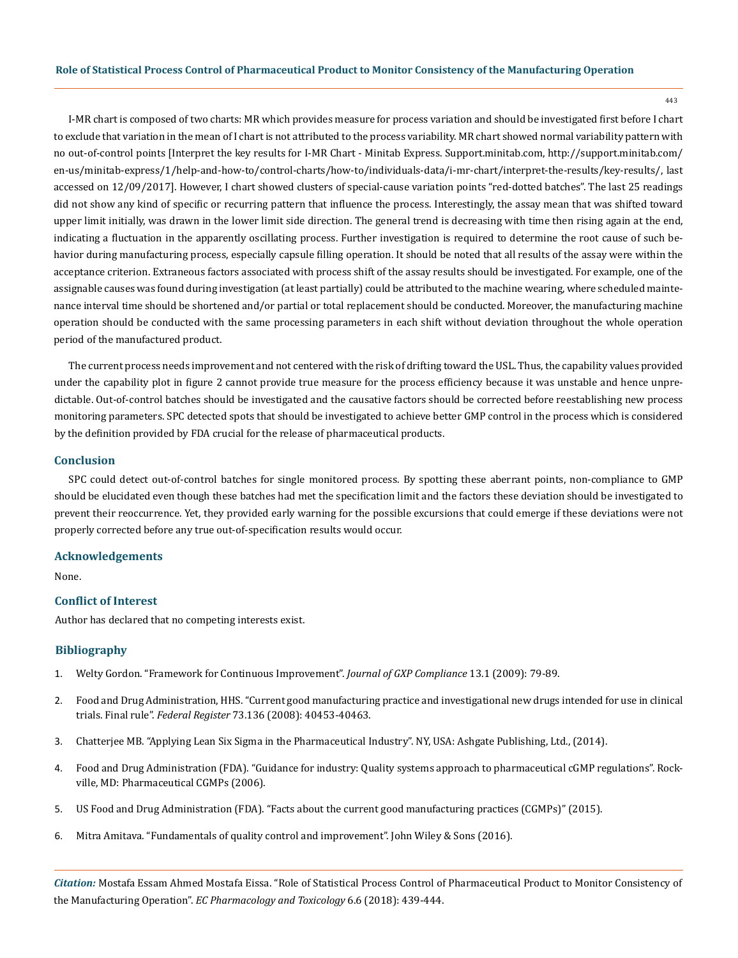443

I-MR chart is composed of two charts: MR which provides measure for process variation and should be investigated first before I chart to exclude that variation in the mean of I chart is not attributed to the process variability. MR chart showed normal variability pattern with no out-of-control points [Interpret the key results for I-MR Chart - Minitab Express. Support.minitab.com, http://support.minitab.com/ en-us/minitab-express/1/help-and-how-to/control-charts/how-to/individuals-data/i-mr-chart/interpret-the-results/key-results/, last accessed on 12/09/2017]. However, I chart showed clusters of special-cause variation points "red-dotted batches". The last 25 readings did not show any kind of specific or recurring pattern that influence the process. Interestingly, the assay mean that was shifted toward upper limit initially, was drawn in the lower limit side direction. The general trend is decreasing with time then rising again at the end, indicating a fluctuation in the apparently oscillating process. Further investigation is required to determine the root cause of such behavior during manufacturing process, especially capsule filling operation. It should be noted that all results of the assay were within the acceptance criterion. Extraneous factors associated with process shift of the assay results should be investigated. For example, one of the assignable causes was found during investigation (at least partially) could be attributed to the machine wearing, where scheduled maintenance interval time should be shortened and/or partial or total replacement should be conducted. Moreover, the manufacturing machine operation should be conducted with the same processing parameters in each shift without deviation throughout the whole operation period of the manufactured product.

The current process needs improvement and not centered with the risk of drifting toward the USL. Thus, the capability values provided under the capability plot in figure 2 cannot provide true measure for the process efficiency because it was unstable and hence unpredictable. Out-of-control batches should be investigated and the causative factors should be corrected before reestablishing new process monitoring parameters. SPC detected spots that should be investigated to achieve better GMP control in the process which is considered by the definition provided by FDA crucial for the release of pharmaceutical products.

## **Conclusion**

SPC could detect out-of-control batches for single monitored process. By spotting these aberrant points, non-compliance to GMP should be elucidated even though these batches had met the specification limit and the factors these deviation should be investigated to prevent their reoccurrence. Yet, they provided early warning for the possible excursions that could emerge if these deviations were not properly corrected before any true out-of-specification results would occur.

## **Acknowledgements**

None.

# **Conflict of Interest**

Author has declared that no competing interests exist.

## **Bibliography**

- 1. [Welty Gordon. "Framework for Continuous Improvement".](http://www.wright.edu/~gordon.welty/J_GXP_C_CI_01_09.pdf) *Journal of GXP Compliance* 13.1 (2009): 79-89.
- 2. [Food and Drug Administration, HHS. "Current good manufacturing practice and investigational new drugs intended for use in clinical](https://www.ncbi.nlm.nih.gov/pubmed/18850678)  trials. Final rule". *Federal Register* [73.136 \(2008\): 40453-40463.](https://www.ncbi.nlm.nih.gov/pubmed/18850678)
- 3. Chatterjee MB. "Applying Lean Six Sigma in the Pharmaceutical Industry". NY, USA: Ashgate Publishing, Ltd., (2014).
- 4. [Food and Drug Administration \(FDA\). "Guidance for industry: Quality systems approach to pharmaceutical cGMP regulations". Rock](https://www.fda.gov/downloads/Drugs/Guidances/UCM070337.pdf)[ville, MD: Pharmaceutical CGMPs \(2006\).](https://www.fda.gov/downloads/Drugs/Guidances/UCM070337.pdf)
- 5. [US Food and Drug Administration \(FDA\). "Facts about the current good manufacturing practices \(CGMPs\)" \(2015\).](https://www.jostchemical.com/wp-content/uploads/pdf/cGMPs.pdf)
- 6. [Mitra Amitava. "Fundamentals of quality control and improvement". John Wiley & Sons \(2016\).](http://allaboutmetallurgy.com/wp/wp-content/uploads/2016/12/Fundamentals-of-Quality-Control-and-Improvement.pdf)